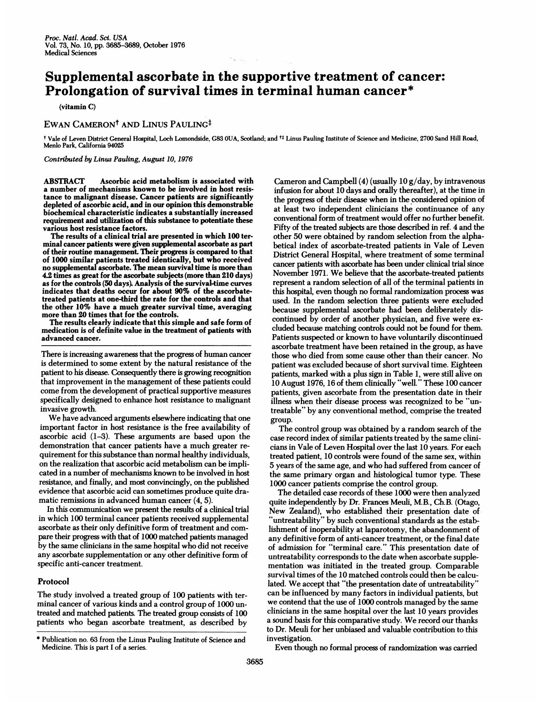# Supplemental ascorbate in the supportive treatment of cancer: Prolongation of survival times in terminal human cancer\*

(vitamin C)

## EWAN CAMERON<sup>†</sup> AND LINUS PAULING<sup>‡</sup>

<sup>t</sup> Vale of Leven District General Hospital, Loch Lomondside, G83 OUA, Scotland; and tt Linus Pauling Institute of Science and Medicine, 2700 Sand Hill Road, Menlo Park, California 94025

Contributed by Linus Pauling, August 10, 1976

ABSTRACT Ascorbic acid metabolism is associated with a number of mechanisms known to be involved in host resistance to malignant disease. Cancer patients are significantly depleted of ascorbic acid, and in our opinion this demonstrable biochemical characteristic indicates a substantially increased requirement and utilization of this substance to potentiate these various host resistance factors.

The results of a clinical trial are presented in which 100 terminal cancer patients were given supplemental ascorbate as part of their routine management. Their progress is compared to that of 1000 similar patients treated identically, but who received no supplemental ascorbate. The mean survival time is more than 4.2 times as great for the ascorbate subjects (more than 210 days) as for the controls (50 days) Analysis of the survival-time curves indicates that deaths occur for about 90% of the ascorbatetreated patients at one-third the rate for the controls and that the other 10% have a much greater survival time, averaging more than 20 times that for the controls.

The results clearly indicate that this simple and safe form of medication is of definite value in the treatment of patients with advanced cancer.

There is increasing awareness that the progress of human cancer is determined to some extent by the natural resistance of the patient to his disease. Consequently there is growing recognition that improvement in the management of these patients could come from the development of practical supportive measures specifically designed to enhance host resistance to malignant invasive growth.

We have advanced arguments elsewhere indicating that one important factor in host resistance is the free availability of ascorbic acid (1-3). These arguments are based upon the demonstration that cancer patients have a much greater requirement for this substance than normal healthy individuals, on the realization that ascorbic acid metabolism can be implicated in a number of mechanisms known to be involved in host resistance, and finally, and most convincingly, on the published evidence that ascorbic acid can sometimes produce quite dramatic remissions in advanced human cancer (4, 5).

In this communication we present the results of a clinical trial in which 100 terminal cancer patients received supplemental ascorbate as their only definitive form of treatment and compare their progress with that of 1000 matched patients managed by the same clinicians in the same hospital who did not receive any ascorbate supplementation or any other definitive form of specific anti-cancer treatment.

#### Protocol

The study involved a treated group of 100 patients with terminal cancer of various kinds and a control group of 1000 untreated and matched patients. The treated group consists of 100 patients who began ascorbate treatment, as described by

Cameron and Campbell (4) (usually 10 g/day, by intravenous infusion for about 10 days and orally thereafter), at the time in the progress of their disease when in the considered opinion of at least two independent clinicians the continuance of any conventional form of treatment would offer no further benefit. Fifty of the treated subjects are those described in ref. 4 and the other 50 were obtained by random selection from the alphabetical index of ascorbate-treated patients in Vale of Leven District General Hospital, where treatment of some terminal cancer patients with ascorbate has been under clinical trial since November 1971. We believe that the ascorbate-treated patients represent a random selection of all of the terminal patients in this hospital, even though no formal randomization process was used. In the random selection three patients were excluded because supplemental ascorbate had been deliberately discontinued by order of another physician, and five were excluded because matching controls could not be found for them. Patients suspected or known to have voluntarily discontinued ascorbate treatment have been retained in the group, as have those who died from some cause other than their cancer. No patient was excluded because of short survival time. Eighteen patients, marked with a plus sign in Table 1, were still alive on 10 August 1976, 16 of them clinically "well." These 100 cancer patients, given ascorbate from the presentation date in their illness when their disease process was recognized to be "untreatable" by any conventional method, comprise the treated group.

The control group was obtained by a random search of the case record index of similar patients treated by the same clinicians in Vale of Leven Hospital over the last 10 years. For each treated patient, 10 controls were found of the same sex, within 5 years of the same age, and who had suffered from cancer of the same primary organ and histological tumor type. These 1000 cancer patients comprise the control group.

The detailed case records of these 1000 were then analyzed quite independently by Dr. Frances Meuli, M.B., Ch.B. (Otago, New Zealand), who established their presentation date of "untreatability" by such conventional standards as the establishment of inoperability at laparotomy, the abandonment of any definitive form of anti-cancer treatment, or the final date of admission for "terminal care." This presentation date of untreatability corresponds to the date when ascorbate supplementation was initiated in the treated group. Comparable survival times of the 10 matched controls could then be calculated. We accept that "the presentation date of untreatability" can be influenced by many factors in individual patients, but we contend that the use of 1000 controls managed by the same clinicians in the same hospital over the last 10 years provides <sup>a</sup> sound basis for this comparative study. We record our thanks to Dr. Meuli for her unbiased and valuable contribution to this investigation.

Even though no formal process of randomization was carried

<sup>\*</sup> Publication no. 63 from the Linus Pauling Institute of Science and Medicine. This is part <sup>I</sup> of a series.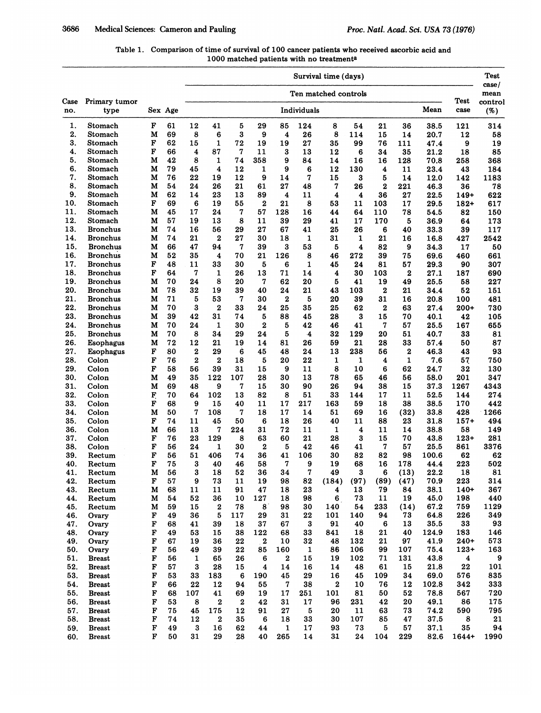| Table 1. Comparison of time of survival of 100 cancer patients who received ascorbic acid and |
|-----------------------------------------------------------------------------------------------|
| 1000 matched patients with no treatment <sup>a</sup>                                          |

|            |                                    |                  |          |                         | Survival time (days)    |                  |                         |                         |              |                  |            |                  |                  |                          | <b>Test</b>                |                         |
|------------|------------------------------------|------------------|----------|-------------------------|-------------------------|------------------|-------------------------|-------------------------|--------------|------------------|------------|------------------|------------------|--------------------------|----------------------------|-------------------------|
| Case       | Primary tumor                      |                  |          | Ten matched controls    |                         |                  |                         |                         |              |                  |            |                  | Test             | case/<br>mean<br>control |                            |                         |
| no.        | type                               |                  | Sex Age  |                         | Mean<br>Individuals     |                  |                         |                         |              |                  |            |                  |                  | case                     | (%)                        |                         |
| 1.         | Stomach                            | F                | 61       | 12                      | 41                      | 5                | 29                      | 85                      | 124          | 8                | 54         | 21               | 36               | 38.5                     | 121                        | 314                     |
| 2.         | Stomach                            | М                | 69       | 8                       | 6                       | 3                | 9                       | $\overline{\mathbf{4}}$ | 26           | 8                | 114        | 15               | 14               | 20.7                     | 12                         | 58                      |
| 3.         | Stomach                            | F                | 62       | 15                      | 1                       | 72               | 19                      | 19                      | 27           | 35               | 99         | 76               | 111              | 47.4                     | 9                          | 19                      |
| 4.         | Stomach                            | $\mathbf F$      | 66       | $\overline{\mathbf{4}}$ | 87                      | 7                | 11                      | 3                       | 13           | 12               | 6          | 34               | 35               | 21.2                     | 18                         | 85                      |
| 5.<br>6.   | Stomach                            | м<br>М           | 42<br>79 | 8                       | 1<br>4                  | 74               | 358                     | 9                       | 84           | 14               | 16         | 16               | 128              | 70.8                     | 258                        | 368                     |
| 7.         | Stomach<br>Stomach                 | м                | 76       | 45<br>22                | 19                      | 12<br>12         | 1<br>9                  | 9<br>14                 | 6<br>7       | 12<br>15         | 130<br>3   | 4<br>5           | 11<br>14         | 23.4<br>12.0             | 43<br>142                  | 184<br>1183             |
| 8.         | Stomach                            | м                | 54       | 24                      | 26                      | 21               | 61                      | 27                      | 48           | 7                | 26         | $\mathbf{2}$     | 221              | 46.3                     | 36                         | 78                      |
| 9.         | Stomach                            | М                | 62       | 14                      | 23                      | 13               | 89                      | 4                       | 11           | 4                | 4          | 36               | 27               | 22.5                     | $149+$                     | 622                     |
| 10.        | Stomach                            | F                | 69       | 6                       | 19                      | 55               | $\mathbf 2$             | 21                      | 8            | 53               | 11         | 103              | 17               | 29.5                     | $182+$                     | 617                     |
| 11.        | Stomach                            | M                | 45       | 17                      | 24                      | 7                | 57                      | 128                     | 16           | 44               | 64         | 110              | 78               | 54.5                     | 82                         | 150                     |
| 12.        | Stomach                            | м                | 57       | 19                      | 13                      | 8                | 11                      | 39                      | 29           | 41               | 17         | 170              | 5                | 36.9                     | 64                         | 173                     |
| 13.        | <b>Bronchus</b>                    | M                | 74       | 16                      | 56                      | 29               | 27                      | 67                      | 41           | 25               | 26         | 6                | 40               | 33.3                     | 39                         | 117                     |
| 14.        | <b>Bronchus</b>                    | М                | 74       | 21                      | $\mathbf 2$             | 27               | 30                      | 18                      | 1            | 31               | 1          | 21               | 16               | 16.8                     | 427                        | 2542                    |
| 15.        | <b>Bronchus</b>                    | М                | 66       | 47                      | 94                      | 7                | 39                      | 3                       | 53           | 5                | 4          | 82               | 9                | 34.3                     | 17                         | 50                      |
| 16.        | <b>Bronchus</b>                    | м                | 52       | 35                      | $\overline{\mathbf{4}}$ | 70               | 21                      | 126                     | 8            | 46               | 272        | 39               | 75               | 69.6                     | 460                        | 661                     |
| 17.        | <b>Bronchus</b>                    | F                | 48       | 11                      | 33                      | 30               | 5                       | 6                       | $\mathbf{1}$ | 45               | 24         | 81               | 57               | 29.3                     | 90                         | 307                     |
| 18.        | <b>Bronchus</b>                    | F                | 64       | 7                       | $\mathbf{1}$            | 26               | 13                      | 71                      | 14           | 4                | 30         | 103              | $\boldsymbol{2}$ | 27.1                     | 187                        | 690                     |
| 19.        | <b>Bronchus</b>                    | М                | 70       | 24                      | 8                       | 20               | 7                       | 62                      | 20           | 5                | 41         | 19               | 49               | 25.5                     | 58                         | 227                     |
| 20.        | <b>Bronchus</b>                    | M                | 78       | 32                      | 19                      | 39               | 40                      | 24                      | 21           | 43               | 103        | $\boldsymbol{2}$ | 21               | 34.4                     | 52                         | 151                     |
| 21.<br>22. | <b>Bronchus</b><br><b>Bronchus</b> | M<br>М           | 71<br>70 | 5<br>3                  | 53<br>$\mathbf 2$       | 7<br>33          | 30<br>24                | $\mathbf 2$<br>25       | 5<br>35      | 20<br>25         | 39<br>62   | 31               | 16<br>63         | 20.8<br>27.4             | 100                        | 481                     |
| 23.        | <b>Bronchus</b>                    | M                | 39       | 42                      | 31                      | 74               | 5                       | 88                      | 45           | 28               | 3          | $\bf{2}$<br>15   | 70               | 40.1                     | 200+<br>42                 | 730<br>105              |
| 24.        | <b>Bronchus</b>                    | м                | 70       | 24                      | $\mathbf{1}$            | 30               | $\mathbf 2$             | 5                       | 42           | 46               | 41         | 7                | 57               | 25.5                     | 167                        | 655                     |
| 25.        | <b>Bronchus</b>                    | M                | 70       | 8                       | 34                      | 29               | 24                      | 5                       | $\cdot$ 4    | 32               | 129        | 20               | 51               | 40.7                     | 33                         | 81                      |
| 26.        | Esophagus                          | M                | 72       | 12                      | 21                      | 19               | 14                      | 81                      | 26           | 59               | 21         | 28               | 33               | 57.4                     | 50                         | 87                      |
| 27.        | Esophagus                          | F                | 80       | $\boldsymbol{2}$        | 29                      | 6                | 45                      | 48                      | 24           | 13               | 238        | 56               | $\boldsymbol{2}$ | 46.3                     | 43                         | 93                      |
| 28.        | Colon                              | F                | 76       | $\overline{2}$          | $\overline{2}$          | 18               | 5                       | 20                      | 22           | 1                | 1          | 4                | $\mathbf{1}$     | 7.6                      | 57                         | 750                     |
| 29.        | Colon                              | F                | 58       | 56                      | 39                      | 31               | 15                      | 9                       | 11           | 8                | 10         | 6                | 62               | 24.7                     | 32                         | 130                     |
| 30.        | Colon                              | M                | 49       | 35                      | 122                     | 107              | 28                      | 30                      | 13           | 78               | 65         | 46               | 56               | 58.0                     | 201                        | 347                     |
| 31.        | Colon                              | м                | 69       | 48                      | 9                       | 7                | 15                      | 30                      | 90           | 26               | 94         | 38               | 15               | 37.3                     | 1267                       | 4343                    |
| 32.        | Colon                              | F                | 70       | 64                      | 102                     | 13               | 82                      | 8                       | 51           | 33               | 144        | 17               | 11               | 52.5                     | 144                        | 274                     |
| 33.        | Colon                              | F                | 68       | 9                       | 15                      | 40               | 11                      | 17                      | 217          | 163              | 59         | 18               | 38               | 38.5                     | 170                        | 442                     |
| 34.        | Colon                              | м                | 50       | 7                       | 108                     | 7                | 18                      | 17                      | 14           | 51               | 69         | 16               | (32)             | 33.8                     | 428                        | 1266                    |
| 35.        | Colon                              | F                | 74       | 11                      | 45                      | 50               | 6                       | 18                      | 26           | 40               | 11         | 88               | 23               | 31.8                     | $157+$                     | 494                     |
| 36.        | Colon                              | M                | 66       | 13                      | 7                       | 224              | 31                      | 72                      | 11           | 1                | 4          | 11               | 14               | 38.8                     | 58                         | 149                     |
| 37.<br>38. | Colon<br>Colon                     | F<br>F           | 76<br>56 | 23<br>24                | 129<br>$\mathbf{1}$     | 8<br>30          | 63<br>$\mathbf{2}$      | 60<br>5                 | 21<br>42     | 28<br>46         | 3<br>41    | 15<br>7          | 70<br>57         | 43.8<br>25.5             | $123+$<br>861              | 281<br>3376             |
| 39.        | Rectum                             | F                | 56       | 51                      | 406                     | 74               | 36                      | 41                      | 106          | 30               | 82         | 82               | 98               | 100.6                    | 62                         | 62                      |
| 40.        | Rectum                             | F                | 75       | 3                       | 40                      | 46               | 58                      | 7                       | 9            | 19               | 68         | 16               | 178              | 44.4                     | 223                        | 502                     |
| 41.        | Rectum                             | M                | 56       | 3                       | 18                      | 52               | 36                      | 34                      | $\mathbf 7$  | 49               | 3          | $6\phantom{1}6$  | (13)             | 22.2                     | 18                         | 81                      |
| 42.        | Rectum                             | F                | 57       | 9                       | 73                      | 11               | 19                      | 98                      | 82           | (184)            | (97)       | (89)             | (47)             | 70.9                     | 223                        | 314                     |
| 43.        | Rectum                             | M                | 68       | 11                      | 11                      | 91               | 47                      | 18                      | 23           | 4                | 13         | 79               | 84               | 38.1                     | $140+$                     | 367                     |
| 44.        | Rectum                             | м                | 54       | 52                      | 36                      | 10               | 127                     | 18                      | 98           | $6\phantom{.}$   | 73         | 11               | 19               | 45.0                     | 198                        | 440                     |
| 45.        | Rectum                             | M                | 59       | 15                      | $\boldsymbol{2}$        | 78               | 8                       | 98                      | 30           | 140              | 54         | 233              | (14)             | 67.2                     | 759                        | 1129                    |
| 46.        | Ovary                              | F                | 49       | 36                      | 5                       | 117              | 29                      | 31                      | 22           | 101              | 140        | 94               | 73               | 64.8                     | 226                        | 349                     |
| 47.        | Ovary                              | F                | 68       | 41                      | 39                      | 18               | 37                      | 67                      | 3            | 91               | 40         | $\bf 6$          | 13               | 35.5                     | 33                         | 93                      |
| 48.        | Ovary                              | F                | 49       | 53                      | 15                      | 38               | 122                     | 68                      | 33           | 841              | 18         | 21               | 40               | 124.9                    | 183                        | 146                     |
| 49.        | Ovary                              | F<br>$\mathbf F$ | 67       | 19                      | 36                      | 22<br>22         | $\cdot$ 2               | 10                      | 32           | 48<br>86         | 132<br>106 | 21<br>99         | 97<br>107        | 41.9<br>75.4             | $240+$                     | 573                     |
| 50.<br>51. | Ovary<br><b>Breast</b>             | F                | 56<br>56 | 49<br>1                 | 39<br>65                | 26               | 85<br>6                 | 160<br>$\boldsymbol{2}$ | 1<br>15      | 19               | 102        | 71               | 131              | 43.8                     | $123+$<br>$\boldsymbol{4}$ | 163<br>$\boldsymbol{9}$ |
| 52.        | <b>Breast</b>                      | F                | 57       | 3                       | 28                      | 15               | $\overline{\mathbf{4}}$ | 14                      | 16           | 14               | 48         | 61               | 15               | 21.8                     | 22                         | 101                     |
| 53.        | <b>Breast</b>                      | F                | 53       | 33                      | 183                     | 6                | 190                     | 45                      | 29           | 16               | 45         | 109              | 34               | 69.0                     | 576                        | 835                     |
| 54.        | <b>Breast</b>                      | F                | 66       | 22                      | 12                      | 94               | 55                      | $\boldsymbol{7}$        | 38           | $\boldsymbol{2}$ | 10         | 76               | 12               | 102.8                    | 342                        | 333                     |
| 55.        | <b>Breast</b>                      | F                | 68       | 107                     | 41                      | 69               | 19                      | 17                      | 251          | 101              | 81         | 50               | 52               | 78.8                     | 567                        | 720                     |
| 56.        | <b>Breast</b>                      | F                | 53       | 8                       | $\boldsymbol{2}$        | $\boldsymbol{2}$ | 42                      | 31                      | 17           | 96               | 231        | 42               | 20               | 49.1                     | 86                         | 175                     |
| 57.        | <b>Breast</b>                      | F                | 75       | 45                      | 175                     | 12               | 91                      | 27                      | 5            | 20               | 11         | 63               | 73               | 74.2                     | 590                        | 795                     |
| 58.        | <b>Breast</b>                      | F                | 74       | 12                      | $\boldsymbol{2}$        | 35               | 6                       | 18                      | 33           | 30               | 107        | 85               | 47               | 37.5                     | 8                          | 21                      |
| 59.        | <b>Breast</b>                      | F                | 49       | 3                       | 16                      | 62               | 44                      | 1                       | 17           | 93               | 73         | 5                | 57               | 37.1                     | 35                         | 94                      |
| 60.        | <b>Breast</b>                      | F                | 50       | 31                      | 29                      | 28               | 40                      | 265                     | 14           | 31               | 24         | 104              | 229              | 82.6                     | 1644+                      | 1990                    |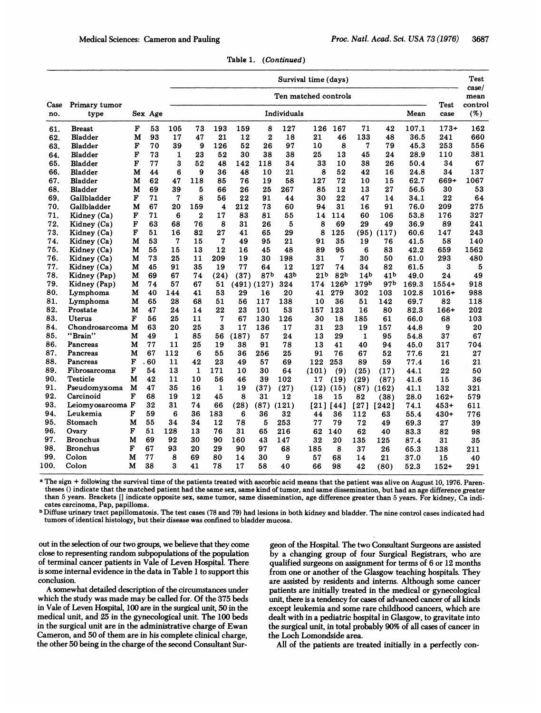|      |                  |              |         |              | Survival time (days) |                         |       |                |       |                    |                  |                 |                 | Test<br>case/<br>mean<br>control<br>(%) |         |      |
|------|------------------|--------------|---------|--------------|----------------------|-------------------------|-------|----------------|-------|--------------------|------------------|-----------------|-----------------|-----------------------------------------|---------|------|
| Case | Primary tumor    |              |         |              | Ten matched controls |                         |       |                |       |                    |                  |                 |                 |                                         | Test    |      |
| no.  | type             |              | Sex Age |              | Individuals<br>Mean  |                         |       |                |       |                    |                  |                 | case            |                                         |         |      |
| 61.  | <b>Breast</b>    | F            | 53      | 105          | 73                   | 193                     | 159   | 8              | 127   | 126                | 167              | 71              | 42              | 107.1                                   | $173+$  | 162  |
| 62.  | <b>Bladder</b>   | M            | 93      | 17           | 47                   | 21                      | 12    | $\overline{2}$ | 18    | 21                 | 46               | 133             | 48              | 36.5                                    | 241     | 660  |
| 63.  | <b>Bladder</b>   | F            | 70      | 39           | 9                    | 126                     | 52    | 26             | 97    | 10                 | 8                | 7               | 79              | 45.3                                    | 253     | 556  |
| 64.  | Bladder          | $\mathbf F$  | 73      | $\mathbf{1}$ | 23                   | 52                      | 30    | 38             | 38    | 25                 | 13               | 45              | 24              | 28.9                                    | 110     | 381  |
| 65.  | <b>Bladder</b>   | F            | 77      | 3            | 52                   | 48                      | 142   | 118            | 34    | 33                 | 10               | 38              | 26              | 50.4                                    | 34      | 67   |
| 66.  | <b>Bladder</b>   | м            | 44      | 6            | 9                    | 36                      | 48    | 10             | 21    | 8                  | 52               | 42              | 16              | 24.8                                    | 34      | 137  |
| 67.  | <b>Bladder</b>   | M            | 62      | 47           | 118                  | 85                      | 76    | 19             | 58    | 127                | 72               | 10              | 15              | 62.7                                    | 669+    | 1067 |
| 68.  | <b>Bladder</b>   | M            | 69      | 39           | 5                    | 66                      | 26    | 25             | 267   | 85                 | 12               | 13              | 27              | 56.5                                    | 30      | 53   |
| 69.  | Gallbladder      | F            | 71      | 7            | 8                    | 56                      | 22    | 91             | 44    | 30                 | 22               | 47              | 14              | 34.1                                    | 22      | 64   |
| 70.  | Gallbladder      | М            | 67      | 20           | 159                  | $\overline{\mathbf{4}}$ | 212   | 73             | 60    | 94                 | 31               | 16              | 91              | 76.0                                    | 209     | 275  |
| 71.  | Kidney (Ca)      | F            | 71      | 6            | $\overline{2}$       | 17                      | 83    | 81             | 55    | 14                 | 114              | 60              | 106             | 53.8                                    | 176     | 327  |
| 72.  | Kidney (Ca)      | F            | 63      | 68           | 76                   | 8                       | 31    | 26             | 5     | 8                  | 69               | 29              | 49              | 36.9                                    | 89      | 241  |
| 73.  | Kidney (Ca)      | F            | 51      | 16           | 82                   | 27                      | 41    | 65             | 29    | 8                  | 125              | (95)            | (117)           | 60.6                                    | 147     | 243  |
| 74.  | Kidney (Ca)      | M            | 53      | 7            | 15                   | 7                       | 49    | 95             | 21    | 91                 | 35               | 19              | 76              | 41.5                                    | 58      | 140  |
| 75.  | Kidney (Ca)      | M            | 55      | 15           | 13                   | 12                      | 16    | 45             | 48    | 89                 | 95               | 6               | 83              | 42.2                                    | 659     | 1562 |
| 76.  | Kidney (Ca)      | М            | 73      | 25           | 11                   | 209                     | 19    | 30             | 198   | 31                 | 7                | 30              | 50              | 61.0                                    | 293     | 480  |
| 77.  | Kidney (Ca)      | M            | 45      | 91           | 35                   | 19                      | 77    | 64             | 12    | 127                | 74               | 34              | 82              | 61.5                                    | 3       | 5    |
| 78.  | Kidney (Pap)     | М            | 69      | 67           | 74                   | (24)                    | (37)  | 87b            | 43b   | 21 <sub>b</sub>    | 82 <sub>b</sub>  | 14 <sub>b</sub> | 41 <sub>b</sub> | 49.0                                    | 24      | 49   |
| 79.  | Kidney (Pap)     | М            | 74      | 57           | 67                   | 51                      |       | (491)(127)     | 324   | 174                | 126 <sup>b</sup> | 179b            | 97b             | 169.3                                   | $1554+$ | 918  |
| 80.  | Lymphoma         | М            | 40      | 144          | 41                   | 53                      | 29    | 16             | 20    | 41                 | 279              | 302             | 103             | 102.8                                   | 1016+   | 988  |
| 81.  | Lymphoma         | М            | 65      | 28           | 68                   | 51                      | 56    | 117            | 138   | 10                 | 36               | 51              | 142             | 69.7                                    | 82      | 118  |
| 82.  | Prostate         | м            | 47      | 24           | 14                   | 22                      | 23    | 101            | 53    | 157                | 123              | 16              | 80              | 82.3                                    | $166+$  | 202  |
| 83.  | <b>Uterus</b>    | F            | 56      | 25           | 11                   | 7                       | 67    | 130            | 126   | 30                 | 18               | 185             | 61              | 66.0                                    | 68      | 103  |
| 84.  | Chondrosarcoma M |              | 63      | 20           | 25                   | 3                       | 17    | 136            | 17    | 31                 | 23               | 19              | 157             | 44.8                                    | 9       | 20   |
| 85.  | "Brain"          | М            | 49      | $\mathbf{1}$ | 85                   | 56                      | (187) | 57             | 24    | 13                 | 29               | $\mathbf{1}$    | 95              | 54.8                                    | 37      | 67   |
| 86.  | Pancreas         | М            | 77      | 11           | 25                   | 19                      | 38    | 91             | 78    | 13                 | 41               | 40              | 94              | 45.0                                    | 317     | 704  |
| 87.  | Pancreas         | M            | 67      | 112          | 6                    | 55                      | 36    | 256            | 25    | 91                 | 76               | 67              | 52              | 77.6                                    | 21      | 27   |
| 88.  | Pancreas         | F            | 60      | 11           | 42                   | 23                      | 49    | 57             | 69    | 122                | 253              | 89              | 59              | 77.4                                    | 16      | 21   |
| 89.  | Fibrosarcoma     | $\mathbf{F}$ | 54      | 13           | $\mathbf{1}$         | 171                     | 10    | 30             | 64    | (101)              | (9)              | (25)            | (17)            | 44.1                                    | 22      | 50   |
| 90.  | Testicle         | М            | 42      | 11           | 10                   | 56                      | 46    | 39             | 102   | 17                 | (19)             | (29)            | (87)            | 41.6                                    | 15      | 36   |
| 91.  | Pseudomyxoma     | M            | 47      | 35           | 16                   | $\mathbf{1}$            | 19    | (37)           | (27)  | (12)               | (15)             | (87)            | (162)           | 41.1                                    | 132     | 321  |
| 92.  | Carcinoid        | F            | 68      | 19           | 12                   | 45                      | 8     | 31             | 12    | 18                 | 15               | 82              | (38)            | 28.0                                    | $162+$  | 579  |
| 93.  | Leiomyosarcoma F |              | 32      | 31           | 74                   | 66                      | (28)  | (87)           | (121) | $\lceil 21 \rceil$ | [44]             | [27]            | $[242]$         | 74.1                                    | $453+$  | 611  |
| 94.  | Leukemia         | F            | 59      | 6            | 36                   | 183                     | 6     | 36             | 32    | 44                 | 36               | 112             | 63              | 55.4                                    | $430+$  | 776  |
| 95.  | Stomach          | M            | 55      | 34           | 34                   | 12                      | 78    | 5              | 253   | 77                 | 79               | 72              | 49              | 69.3                                    | 27      | 39   |
| 96.  | Ovary            | F            | 51      | 128          | 13                   | 76                      | 31    | 65             | 216   | 62                 | 140              | 62              | 40              | 83.3                                    | 82      | 98   |
| 97.  | <b>Bronchus</b>  | М            | 69      | 92           | 30                   | 90                      | 160   | 43             | 147   | 32                 | 20               | 135             | 125             | 87.4                                    | 31      | 35   |
| 98.  | <b>Bronchus</b>  | F            | 67      | 93           | 20                   | 29                      | 90    | 97             | 68    | 185                | 8                | 37              | 26              | 65.3                                    | 138     | 211  |
| 99.  | Colon            | М            | 77      | 8            | 69                   | 80                      | 14    | 30             | 9     | 57                 | 68               | 14              | 21              | 37.0                                    | 15      | 40   |
| 100. | Colon            | м            | 38      | 3            | 41                   | 78                      | 17    | 58             | 40    | 66                 | 98               | 42              | (80)            | 52.3                                    | $152+$  | 291  |
|      |                  |              |         |              |                      |                         |       |                |       |                    |                  |                 |                 |                                         |         |      |

Table 1. (Continued)

<sup>a</sup> The sign + following the survival time of the patients treated with ascorbic acid means that the patient was alive on August 10, 1976. Parentheses () indicate that the matched patient had the same sex, same kind of tumor, and same dissemination, but had an age difference greater than 5 years. Brackets [] indicate opposite sex, same tumor, same dissemination, age difference greater than 5 years. For kidney, Ca indicates carcinoma, Pap, papilloma.

b Diffuse urinary tract papillomatosis. The test cases (78 and 79) had lesions in both kidney and bladder. The nine control cases indicated had tumors of identical histology, but their disease was confined to bladder mucosa.

out in the selection of our two groups, we believe that they come close to representing random subpopulations of the population of terminal cancer patients in Vale of Leven Hospital. There is some internal evidence in the data in Table <sup>1</sup> to support this conclusion.

A somewhat detailed description of the circumstances under which the study was made may be called for. Of the 375 beds in Vale of Leven Hospital, 100 are in the surgical unit, 50 in the medical unit, and 25 in the gynecological unit. The 100 beds in the surgical unit are in the administrative charge of Ewan Cameron, and 50 of them are in his complete clinical charge, the other 50 being in the charge of the second Consultant Sur-

geon of the Hospital. The two Consultant Surgeons are assisted by a changing group of four Surgical Registrars, who are qualified surgeons on assignment for terms of 6 or 12 months from one or another of the Glasgow teaching hospitals. They are assisted by residents and interns. Although some cancer patients are initially treated in the medical or gynecological unit, there is a tendency for cases of advanced cancer of all kinds except leukemia and some rare childhood cancers, which are dealt with in a pediatric hospital in Glasgow, to gravitate into the surgical unit, in total probably 90% of all cases of cancer in the Loch Lomondside area.

All of the patients are treated initially in a perfectly con-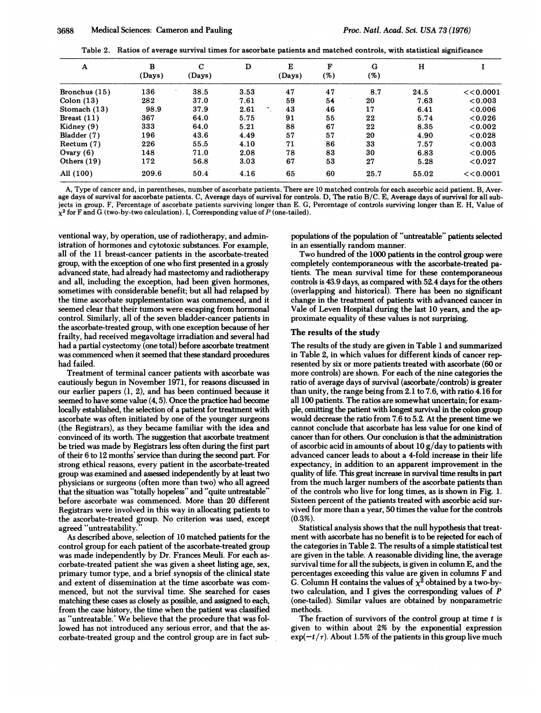Table 2. Ratios of average survival times for ascorbate patients and matched controls, with statistical significance

| A               | B<br>(Days) | $\mathbf C$<br>(Days) | D    | E<br>(Days) | F<br>(%) | G<br>(%) | н     |           |
|-----------------|-------------|-----------------------|------|-------------|----------|----------|-------|-----------|
| Bronchus $(15)$ | 136         | 38.5                  | 3.53 | 47          | 47       | 8.7      | 24.5  | << 0.0001 |
| Colon $(13)$    | 282         | 37.0                  | 7.61 | 59          | 54       | 20       | 7.63  | < 0.003   |
| Stomach $(13)$  | 98.9        | 37.9                  | 2.61 | 43          | 46       | 17       | 6.41  | < 0.006   |
| Breast $(11)$   | 367         | 64.0                  | 5.75 | 91          | 55       | 22       | 5.74  | < 0.026   |
| Kidney (9)      | 333         | 64.0                  | 5.21 | 88          | 67       | 22       | 8.35  | < 0.002   |
| Bladder (7)     | 196         | 43.6                  | 4.49 | 57          | 57       | 20       | 4.90  | < 0.028   |
| Return(7)       | 226         | 55.5                  | 4.10 | 71          | 86       | 33       | 7.57  | <0.003    |
| Ovary $(6)$     | 148         | 71.0                  | 2.08 | 78          | 83       | 30       | 6.83  | <0.005    |
| Others $(19)$   | 172         | 56.8                  | 3.03 | 67          | 53       | 27       | 5.28  | < 0.027   |
| All (100)       | 209.6       | 50.4                  | 4.16 | 65          | 60       | 25.7     | 55.02 | << 0.0001 |

A, Type of cancer and, in parentheses, number of ascorbate patients. There are 10 matched controls for each ascorbic acid patient. B, Average days of survival for ascorbate patients. C, Average days of survival for controls. D, The ratio B/C. E, Average days of survival for all subjects in group. F, Percentage of ascorbate patients surviving longer than E. G, Percentage of controls surviving longer than E. H, Value of  $\chi^2$  for F and G (two-by-two calculation). I, Corresponding value of P (one-tailed).

ventional way, by operation, use of radiotherapy, and administration of hormones and cytotoxic substances. For example, all of the 11 breast-cancer patients in the ascorbate-treated group, with the exception of one who first presented in a grossly advanced state, had already had mastectomy and radiotherapy and all, including the exception, had been given hormones, sometimes with considerable benefit; but all had relapsed by the time ascorbate supplementation was commenced, and it seemed clear that their tumors were escaping from hormonal control. Similarly, all of the seven bladder-cancer patients in the ascorbate-treated group, with one exception because of her frailty, had received megavoltage irradiation and several had had a partial cystectomy (one total) before ascorbate treatment was commenced when it seemed that these standard procedures had failed.

Treatment of terminal cancer patients with ascorbate was cautiously begun in November 1971, for reasons discussed in our earlier papers (1, 2), and has been continued because it seemed to have some value (4, 5). Once the practice had become locally established, the selection of a patient for treatment with ascorbate was often initiated by one of the younger surgeons (the Registrars), as they became familiar with the idea and convinced of its worth. The suggestion that ascorbate treatment be tried was made by Registrars less often during the first part of their 6 to 12 months' service than during the second part. For strong ethical reasons, every patient in the ascorbate-treated group was examined and assessed independently by at least two physicians or surgeons (often more than two) who all agreed that the situation was "totally hopeless" and "quite untreatable" before ascorbate was commenced. More than 20 different Registrars were involved in this way in allocating patients to the ascorbate-treated group. No criterion was used, except agreed "untreatability.

As described above, selection of 10 matched patients for the control group for each patient of the ascorbate-treated group was made independently by Dr. Frances Meuli. For each ascorbate-treated patient she was given a sheet listing age, sex, primary tumor type, and a brief synopsis of the clinical state and extent of dissemination at the time ascorbate was commenced, but not the survival time. She searched for cases matching these cases as closely as possible, and assigned to each, from the case history, the time when the patient was classified as "untreatable.' We believe that the procedure that was followed has not introduced any serious error, and that the ascorbate-treated group and the control group are in fact sub-

populations of the population of "untreatable" patients selected in an essentially random manner.

Two hundred of the 1000 patients in the control group were completely contemporaneous with the ascorbate-treated patients. The mean survival time for these contemporaneous controls is 43.9 days, as compared with 52.4 days for the others (overlapping and historical). There-has been no significant change in the treatment of patients with advanced cancer in Vale of Leven Hospital during the last 10 years, and the approximate equality of these values is not surprising.

#### The results of the study

The results of the study are given in Table <sup>1</sup> and summarized in Table 2, in which values for different kinds of cancer represented by six or more patients treated with ascorbate (60 or more controls) are shown. For each of the nine categories the ratio of average days of survival (ascorbate/controls) is greater than unity, the range being from 2.1 to 7.6, with ratio 4.16 for all 100 patients. The ratios are somewhat uncertain; for example, omitting the patient with longest survival in the colon group would decrease the ratio from 7.6 to 5.2. At the present time we cannot conclude that ascorbate has less value for one kind of cancer than for others. Our conclusion is that the administration of ascorbic acid in amounts of about  $10 \frac{g}{day}$  to patients with advanced cancer leads to about a 4-fold increase in their life expectancy, in addition to an apparent improvement in the quality of life. This great increase in survival time results in part from the much larger numbers of the ascorbate patients than of the controls who live for long times, as is shown in Fig. 1. Sixteen percent of the patients treated with ascorbic acid survived for more than a year, 50 times the value for the controls (0.3%).

Statistical analysis shows that the null hypothesis that treatment with ascorbate has no benefit is to be rejected for each of the categories in Table 2. The results of a simple statistical test are given in the table. A reasonable dividing line, the average survival time for all the subjects, is given in column E, and the percentages exceeding this value are given in columns F and G. Column H contains the values of  $\chi^2$  obtained by a two-bytwo calculation, and <sup>I</sup> gives the corresponding values of P (one-tailed). Similar values are obtained by nonparametric methods.

The fraction of survivors of the control group at time  $t$  is given to within about 2% by the exponential expression  $\exp(-t/\tau)$ . About 1.5% of the patients in this group live much